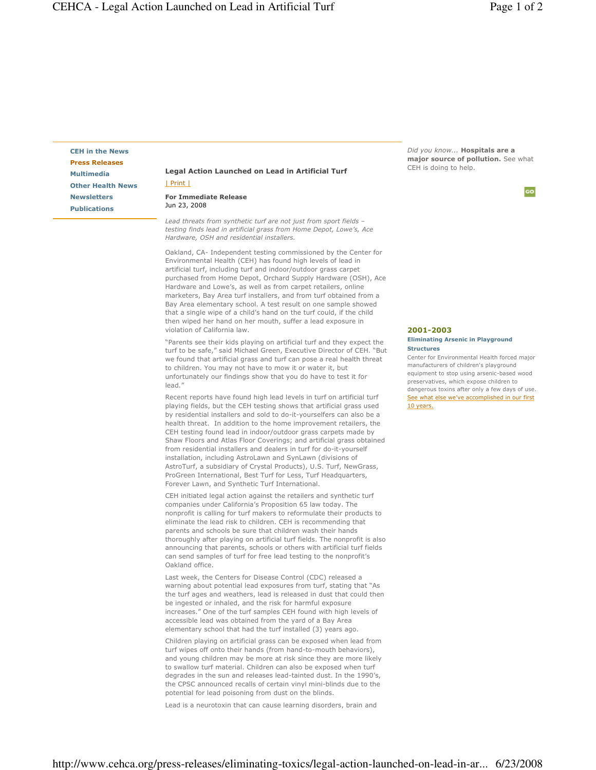co

CEH in the News Press Releases Multimedia Other Health News Newsletters Publications

## Legal Action Launched on Lead in Artificial Turf | Print |

For Immediate Release Jun 23, 2008

Lead threats from synthetic turf are not just from sport fields – testing finds lead in artificial grass from Home Depot, Lowe's, Ace Hardware, OSH and residential installers.

Oakland, CA- Independent testing commissioned by the Center for Environmental Health (CEH) has found high levels of lead in artificial turf, including turf and indoor/outdoor grass carpet purchased from Home Depot, Orchard Supply Hardware (OSH), Ace Hardware and Lowe's, as well as from carpet retailers, online marketers, Bay Area turf installers, and from turf obtained from a Bay Area elementary school. A test result on one sample showed that a single wipe of a child's hand on the turf could, if the child then wiped her hand on her mouth, suffer a lead exposure in violation of California law.

"Parents see their kids playing on artificial turf and they expect the turf to be safe," said Michael Green, Executive Director of CEH. "But we found that artificial grass and turf can pose a real health threat to children. You may not have to mow it or water it, but unfortunately our findings show that you do have to test it for lead."

Recent reports have found high lead levels in turf on artificial turf playing fields, but the CEH testing shows that artificial grass used by residential installers and sold to do-it-yourselfers can also be a health threat. In addition to the home improvement retailers, the CEH testing found lead in indoor/outdoor grass carpets made by Shaw Floors and Atlas Floor Coverings; and artificial grass obtained from residential installers and dealers in turf for do-it-yourself installation, including AstroLawn and SynLawn (divisions of AstroTurf, a subsidiary of Crystal Products), U.S. Turf, NewGrass, ProGreen International, Best Turf for Less, Turf Headquarters, Forever Lawn, and Synthetic Turf International.

CEH initiated legal action against the retailers and synthetic turf companies under California's Proposition 65 law today. The nonprofit is calling for turf makers to reformulate their products to eliminate the lead risk to children. CEH is recommending that parents and schools be sure that children wash their hands thoroughly after playing on artificial turf fields. The nonprofit is also announcing that parents, schools or others with artificial turf fields can send samples of turf for free lead testing to the nonprofit's Oakland office.

Last week, the Centers for Disease Control (CDC) released a warning about potential lead exposures from turf, stating that "As the turf ages and weathers, lead is released in dust that could then be ingested or inhaled, and the risk for harmful exposure increases." One of the turf samples CEH found with high levels of accessible lead was obtained from the yard of a Bay Area elementary school that had the turf installed (3) years ago.

Children playing on artificial grass can be exposed when lead from turf wipes off onto their hands (from hand-to-mouth behaviors), and young children may be more at risk since they are more likely to swallow turf material. Children can also be exposed when turf degrades in the sun and releases lead-tainted dust. In the 1990's, the CPSC announced recalls of certain vinyl mini-blinds due to the potential for lead poisoning from dust on the blinds.

Lead is a neurotoxin that can cause learning disorders, brain and

Did you know... Hospitals are a major source of pollution. See what CEH is doing to help.

2001-2003 Eliminating Arsenic in Playground Structures

Center for Environmental Health forced major manufacturers of children's playground equipment to stop using arsenic-based wood preservatives, which expose children to dangerous toxins after only a few days of use. See what else we've accomplished in our first 10 years.